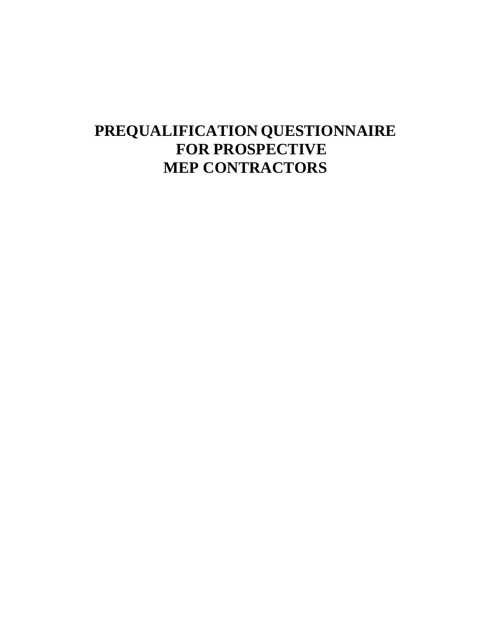# **PREQUALIFICATION QUESTIONNAIRE FOR PROSPECTIVE MEP CONTRACTORS**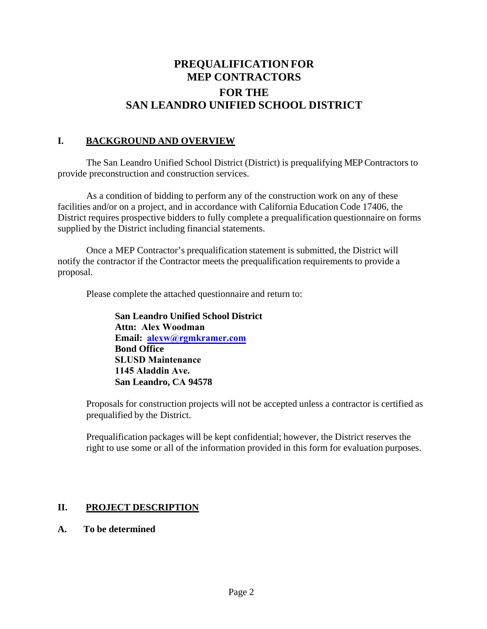# **PREQUALIFICATION FOR MEP CONTRACTORS FOR THE SAN LEANDRO UNIFIED SCHOOL DISTRICT**

#### **I. BACKGROUND AND OVERVIEW**

The San Leandro Unified School District (District) is prequalifying MEP Contractors to provide preconstruction and construction services.

As a condition of bidding to perform any of the construction work on any of these facilities and/or on a project, and in accordance with California Education Code 17406, the District requires prospective bidders to fully complete a prequalification questionnaire on forms supplied by the District including financial statements.

Once a MEP Contractor's prequalification statement is submitted, the District will notify the contractor if the Contractor meets the prequalification requirements to provide a proposal.

Please complete the attached questionnaire and return to:

**San Leandro Unified School District Attn: Alex Woodman Email: alexw@rgmkramer.com Bond Office SLUSD Maintenance 1145 Aladdin Ave. San Leandro, CA 94578**

Proposals for construction projects will not be accepted unless a contractor is certified as prequalified by the District.

Prequalification packages will be kept confidential; however, the District reserves the right to use some or all of the information provided in this form for evaluation purposes.

# **II. PROJECT DESCRIPTION**

#### **A. To be determined**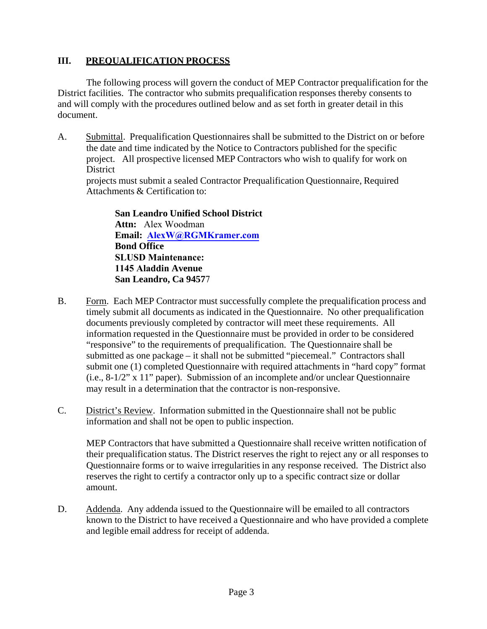# **III. PREQUALIFICATION PROCESS**

The following process will govern the conduct of MEP Contractor prequalification for the District facilities. The contractor who submits prequalification responses thereby consents to and will comply with the procedures outlined below and as set forth in greater detail in this document.

A. Submittal. Prequalification Questionnaires shall be submitted to the District on or before the date and time indicated by the Notice to Contractors published for the specific project. All prospective licensed MEP Contractors who wish to qualify for work on **District** 

projects must submit a sealed Contractor Prequalification Questionnaire, Required Attachments & Certification to:

**San Leandro Unified School District Attn:** Alex Woodman **Email: AlexW@RGMKramer.com Bond Office SLUSD Maintenance: 1145 Aladdin Avenue San Leandro, Ca 9457**7

- B. Form. Each MEP Contractor must successfully complete the prequalification process and timely submit all documents as indicated in the Questionnaire. No other prequalification documents previously completed by contractor will meet these requirements. All information requested in the Questionnaire must be provided in order to be considered "responsive" to the requirements of prequalification. The Questionnaire shall be submitted as one package – it shall not be submitted "piecemeal." Contractors shall submit one (1) completed Questionnaire with required attachments in "hard copy" format (i.e., 8-1/2" x 11" paper). Submission of an incomplete and/or unclear Questionnaire may result in a determination that the contractor is non-responsive.
- C. District's Review. Information submitted in the Questionnaire shall not be public information and shall not be open to public inspection.

MEP Contractors that have submitted a Questionnaire shall receive written notification of their prequalification status. The District reserves the right to reject any or all responses to Questionnaire forms or to waive irregularities in any response received. The District also reserves the right to certify a contractor only up to a specific contract size or dollar amount.

D. Addenda. Any addenda issued to the Questionnaire will be emailed to all contractors known to the District to have received a Questionnaire and who have provided a complete and legible email address for receipt of addenda.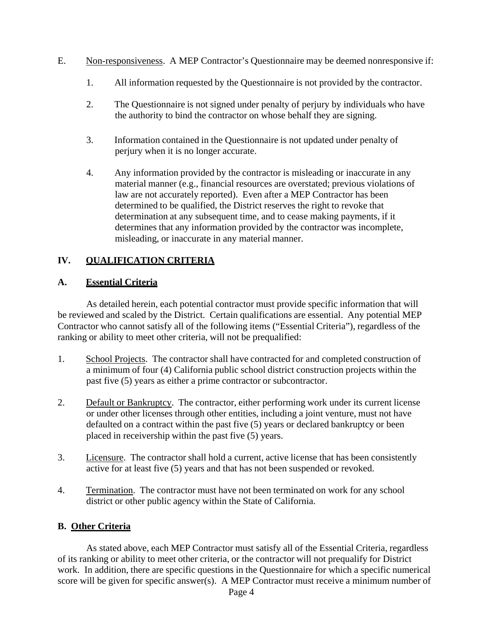- E. Non-responsiveness. A MEP Contractor's Questionnaire may be deemed nonresponsive if:
	- 1. All information requested by the Questionnaire is not provided by the contractor.
	- 2. The Questionnaire is not signed under penalty of perjury by individuals who have the authority to bind the contractor on whose behalf they are signing.
	- 3. Information contained in the Questionnaire is not updated under penalty of perjury when it is no longer accurate.
	- 4. Any information provided by the contractor is misleading or inaccurate in any material manner (e.g., financial resources are overstated; previous violations of law are not accurately reported). Even after a MEP Contractor has been determined to be qualified, the District reserves the right to revoke that determination at any subsequent time, and to cease making payments, if it determines that any information provided by the contractor was incomplete, misleading, or inaccurate in any material manner.

# **IV. QUALIFICATION CRITERIA**

#### **A. Essential Criteria**

As detailed herein, each potential contractor must provide specific information that will be reviewed and scaled by the District. Certain qualifications are essential. Any potential MEP Contractor who cannot satisfy all of the following items ("Essential Criteria"), regardless of the ranking or ability to meet other criteria, will not be prequalified:

- 1. School Projects. The contractor shall have contracted for and completed construction of a minimum of four (4) California public school district construction projects within the past five (5) years as either a prime contractor or subcontractor.
- 2. Default or Bankruptcy. The contractor, either performing work under its current license or under other licenses through other entities, including a joint venture, must not have defaulted on a contract within the past five (5) years or declared bankruptcy or been placed in receivership within the past five (5) years.
- 3. Licensure. The contractor shall hold a current, active license that has been consistently active for at least five (5) years and that has not been suspended or revoked.
- 4. Termination. The contractor must have not been terminated on work for any school district or other public agency within the State of California.

#### **B. Other Criteria**

As stated above, each MEP Contractor must satisfy all of the Essential Criteria, regardless of its ranking or ability to meet other criteria, or the contractor will not prequalify for District work. In addition, there are specific questions in the Questionnaire for which a specific numerical score will be given for specific answer(s). A MEP Contractor must receive a minimum number of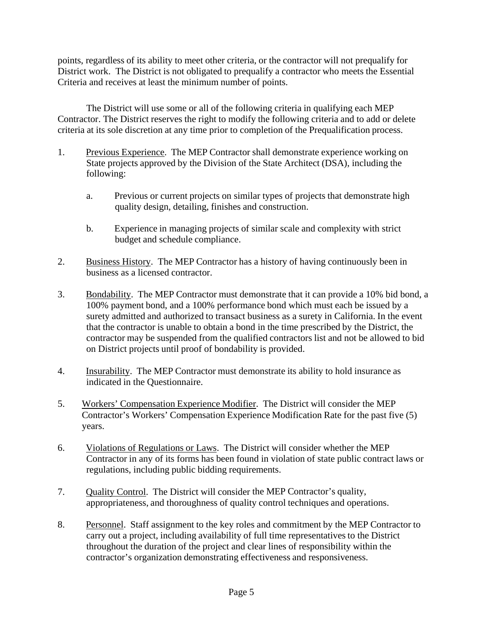points, regardless of its ability to meet other criteria, or the contractor will not prequalify for District work. The District is not obligated to prequalify a contractor who meets the Essential Criteria and receives at least the minimum number of points.

The District will use some or all of the following criteria in qualifying each MEP Contractor. The District reserves the right to modify the following criteria and to add or delete criteria at its sole discretion at any time prior to completion of the Prequalification process.

- 1. Previous Experience. The MEP Contractor shall demonstrate experience working on State projects approved by the Division of the State Architect (DSA), including the following:
	- a. Previous or current projects on similar types of projects that demonstrate high quality design, detailing, finishes and construction.
	- b. Experience in managing projects of similar scale and complexity with strict budget and schedule compliance.
- 2. Business History. The MEP Contractor has a history of having continuously been in business as a licensed contractor.
- 3. Bondability. The MEP Contractor must demonstrate that it can provide a 10% bid bond, a 100% payment bond, and a 100% performance bond which must each be issued by a surety admitted and authorized to transact business as a surety in California. In the event that the contractor is unable to obtain a bond in the time prescribed by the District, the contractor may be suspended from the qualified contractors list and not be allowed to bid on District projects until proof of bondability is provided.
- 4. Insurability. The MEP Contractor must demonstrate its ability to hold insurance as indicated in the Questionnaire.
- 5. Workers' Compensation Experience Modifier. The District will consider the MEP Contractor's Workers' Compensation Experience Modification Rate for the past five (5) years.
- 6. Violations of Regulations or Laws. The District will consider whether the MEP Contractor in any of its forms has been found in violation of state public contract laws or regulations, including public bidding requirements.
- 7. Quality Control. The District will consider the MEP Contractor's quality, appropriateness, and thoroughness of quality control techniques and operations.
- 8. Personnel. Staff assignment to the key roles and commitment by the MEP Contractor to carry out a project, including availability of full time representatives to the District throughout the duration of the project and clear lines of responsibility within the contractor's organization demonstrating effectiveness and responsiveness.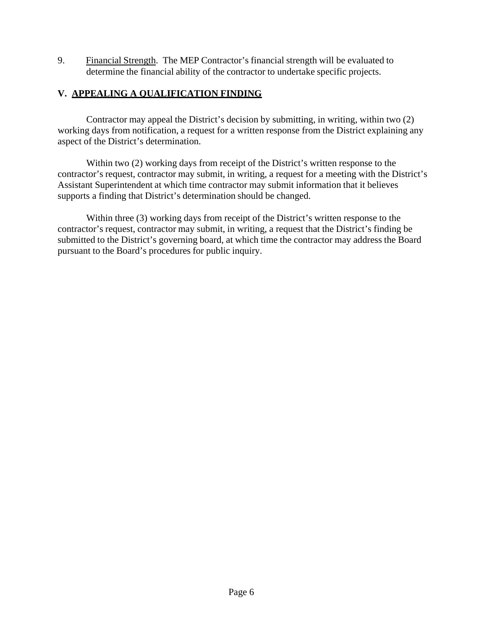9. Financial Strength. The MEP Contractor's financial strength will be evaluated to determine the financial ability of the contractor to undertake specific projects.

#### **V. APPEALING A QUALIFICATION FINDING**

Contractor may appeal the District's decision by submitting, in writing, within two (2) working days from notification, a request for a written response from the District explaining any aspect of the District's determination.

Within two (2) working days from receipt of the District's written response to the contractor's request, contractor may submit, in writing, a request for a meeting with the District's Assistant Superintendent at which time contractor may submit information that it believes supports a finding that District's determination should be changed.

Within three (3) working days from receipt of the District's written response to the contractor's request, contractor may submit, in writing, a request that the District's finding be submitted to the District's governing board, at which time the contractor may address the Board pursuant to the Board's procedures for public inquiry.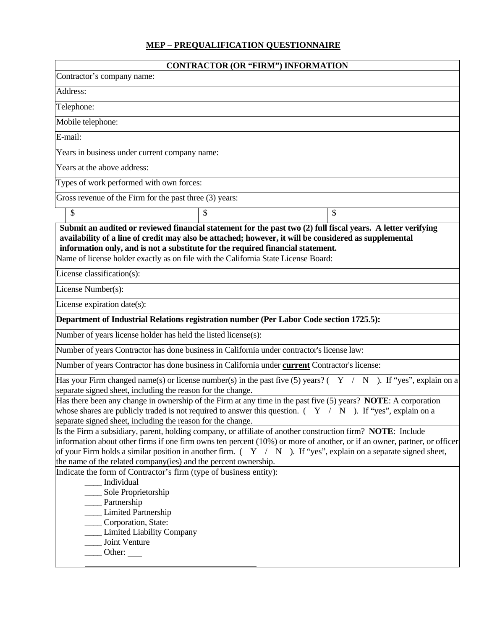#### **MEP – PREQUALIFICATION QUESTIONNAIRE**

| <b>CONTRACTOR (OR "FIRM") INFORMATION</b>                                                                                                                                                                                                                                                                                                                                                                                        |  |  |  |  |
|----------------------------------------------------------------------------------------------------------------------------------------------------------------------------------------------------------------------------------------------------------------------------------------------------------------------------------------------------------------------------------------------------------------------------------|--|--|--|--|
| Contractor's company name:                                                                                                                                                                                                                                                                                                                                                                                                       |  |  |  |  |
| Address:                                                                                                                                                                                                                                                                                                                                                                                                                         |  |  |  |  |
| Telephone:                                                                                                                                                                                                                                                                                                                                                                                                                       |  |  |  |  |
| Mobile telephone:                                                                                                                                                                                                                                                                                                                                                                                                                |  |  |  |  |
| E-mail:                                                                                                                                                                                                                                                                                                                                                                                                                          |  |  |  |  |
|                                                                                                                                                                                                                                                                                                                                                                                                                                  |  |  |  |  |
|                                                                                                                                                                                                                                                                                                                                                                                                                                  |  |  |  |  |
|                                                                                                                                                                                                                                                                                                                                                                                                                                  |  |  |  |  |
|                                                                                                                                                                                                                                                                                                                                                                                                                                  |  |  |  |  |
| \$                                                                                                                                                                                                                                                                                                                                                                                                                               |  |  |  |  |
| Submit an audited or reviewed financial statement for the past two (2) full fiscal years. A letter verifying<br>availability of a line of credit may also be attached; however, it will be considered as supplemental<br>information only, and is not a substitute for the required financial statement.<br>Name of license holder exactly as on file with the California State License Board:                                   |  |  |  |  |
|                                                                                                                                                                                                                                                                                                                                                                                                                                  |  |  |  |  |
|                                                                                                                                                                                                                                                                                                                                                                                                                                  |  |  |  |  |
|                                                                                                                                                                                                                                                                                                                                                                                                                                  |  |  |  |  |
| Department of Industrial Relations registration number (Per Labor Code section 1725.5):                                                                                                                                                                                                                                                                                                                                          |  |  |  |  |
|                                                                                                                                                                                                                                                                                                                                                                                                                                  |  |  |  |  |
| Number of years Contractor has done business in California under contractor's license law:                                                                                                                                                                                                                                                                                                                                       |  |  |  |  |
| Number of years Contractor has done business in California under current Contractor's license:                                                                                                                                                                                                                                                                                                                                   |  |  |  |  |
| Has your Firm changed name(s) or license number(s) in the past five (5) years? $(Y \mid N)$ . If "yes", explain on a<br>separate signed sheet, including the reason for the change.                                                                                                                                                                                                                                              |  |  |  |  |
| Has there been any change in ownership of the Firm at any time in the past five (5) years? NOTE: A corporation<br>whose shares are publicly traded is not required to answer this question. $( Y / N )$ . If "yes", explain on a<br>separate signed sheet, including the reason for the change.                                                                                                                                  |  |  |  |  |
| Is the Firm a subsidiary, parent, holding company, or affiliate of another construction firm? NOTE: Include<br>information about other firms if one firm owns ten percent (10%) or more of another, or if an owner, partner, or officer<br>of your Firm holds a similar position in another firm. $( Y / N )$ . If "yes", explain on a separate signed sheet,<br>the name of the related company(ies) and the percent ownership. |  |  |  |  |
| Indicate the form of Contractor's firm (type of business entity):<br>Individual<br>Sole Proprietorship<br>__ Partnership<br><b>Limited Partnership</b><br>Corporation, State:<br><b>Limited Liability Company</b><br>Joint Venture<br>$\qquad$ Other:                                                                                                                                                                            |  |  |  |  |
|                                                                                                                                                                                                                                                                                                                                                                                                                                  |  |  |  |  |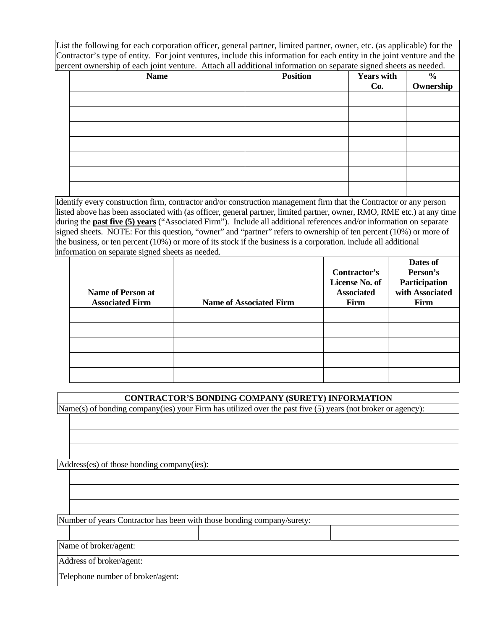List the following for each corporation officer, general partner, limited partner, owner, etc. (as applicable) for the Contractor's type of entity. For joint ventures, include this information for each entity in the joint venture and the percent ownership of each joint venture. Attach all additional information on separate signed sheets as needed.

| <b>Name</b> | <b>Position</b> | $\cdots$<br><b>Years with</b><br>Co. | $\frac{\%}{\text{Ownership}}$ |
|-------------|-----------------|--------------------------------------|-------------------------------|
|             |                 |                                      |                               |
|             |                 |                                      |                               |
|             |                 |                                      |                               |
|             |                 |                                      |                               |
|             |                 |                                      |                               |
|             |                 |                                      |                               |
|             |                 |                                      |                               |

Identify every construction firm, contractor and/or construction management firm that the Contractor or any person listed above has been associated with (as officer, general partner, limited partner, owner, RMO, RME etc.) at any time during the **past five (5) years** ("Associated Firm"). Include all additional references and/or information on separate signed sheets. NOTE: For this question, "owner" and "partner" refers to ownership of ten percent (10%) or more of the business, or ten percent (10%) or more of its stock if the business is a corporation. include all additional information on separate signed sheets as needed.

| <b>Name of Person at</b><br><b>Associated Firm</b> | <b>Name of Associated Firm</b> | Contractor's<br>License No. of<br><b>Associated</b><br>Firm | Dates of<br>Person's<br>Participation<br>with Associated<br>Firm |
|----------------------------------------------------|--------------------------------|-------------------------------------------------------------|------------------------------------------------------------------|
|                                                    |                                |                                                             |                                                                  |
|                                                    |                                |                                                             |                                                                  |
|                                                    |                                |                                                             |                                                                  |
|                                                    |                                |                                                             |                                                                  |
|                                                    |                                |                                                             |                                                                  |

#### **CONTRACTOR'S BONDING COMPANY (SURETY) INFORMATION**

Name(s) of bonding company(ies) your Firm has utilized over the past five (5) years (not broker or agency):

Address(es) of those bonding company(ies):

Number of years Contractor has been with those bonding company/surety:

Name of broker/agent:

Address of broker/agent:

Telephone number of broker/agent: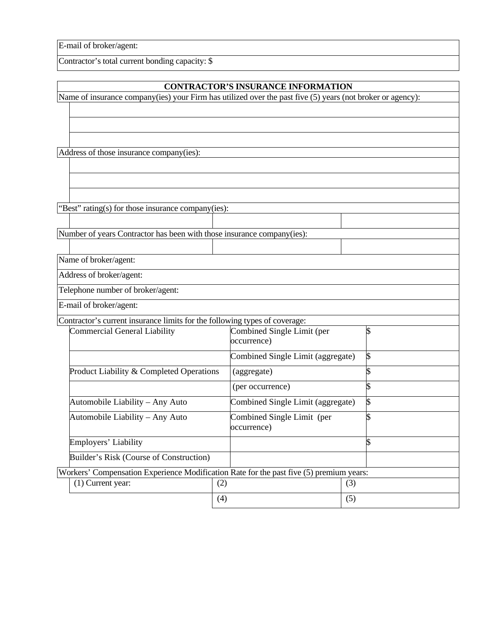E-mail of broker/agent:

Contractor's total current bonding capacity: \$

#### **CONTRACTOR'S INSURANCE INFORMATION**

Name of insurance company(ies) your Firm has utilized over the past five (5) years (not broker or agency):

Address of those insurance company(ies):

"Best" rating(s) for those insurance company(ies):

Number of years Contractor has been with those insurance company(ies):

Name of broker/agent:

Address of broker/agent:

Telephone number of broker/agent:

E-mail of broker/agent:

Contractor's current insurance limits for the following types of coverage:

| <b>Commercial General Liability</b>                                                     |     | Combined Single Limit (per<br>occurrence) |     |  |
|-----------------------------------------------------------------------------------------|-----|-------------------------------------------|-----|--|
|                                                                                         |     | Combined Single Limit (aggregate)         |     |  |
| Product Liability & Completed Operations                                                |     | (aggregate)                               |     |  |
|                                                                                         |     | (per occurrence)                          |     |  |
| Automobile Liability – Any Auto                                                         |     | Combined Single Limit (aggregate)         |     |  |
| Automobile Liability – Any Auto                                                         |     | Combined Single Limit (per<br>occurrence) |     |  |
| Employers' Liability                                                                    |     |                                           |     |  |
| Builder's Risk (Course of Construction)                                                 |     |                                           |     |  |
| Workers' Compensation Experience Modification Rate for the past five (5) premium years: |     |                                           |     |  |
| $(1)$ Current year:                                                                     | (2) |                                           | (3) |  |
|                                                                                         | (4) |                                           | (5) |  |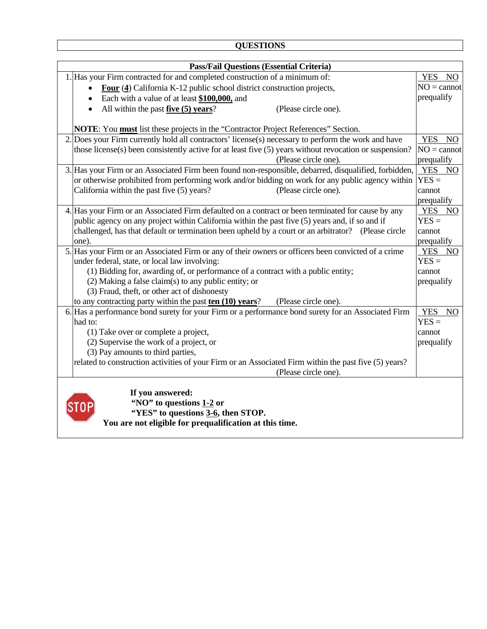| <b>QUESTIONS</b> |
|------------------|
|------------------|

| <b>Pass/Fail Questions (Essential Criteria)</b>                                                               |                                         |  |  |  |
|---------------------------------------------------------------------------------------------------------------|-----------------------------------------|--|--|--|
| 1. Has your Firm contracted for and completed construction of a minimum of:                                   | YES NO                                  |  |  |  |
| Four (4) California K-12 public school district construction projects,                                        | $NO = cannot$                           |  |  |  |
| Each with a value of at least \$100,000, and<br>$\bullet$                                                     | prequalify                              |  |  |  |
| All within the past $five(5)$ years?<br>(Please circle one).                                                  |                                         |  |  |  |
|                                                                                                               |                                         |  |  |  |
| NOTE: You must list these projects in the "Contractor Project References" Section.                            |                                         |  |  |  |
| 2. Does your Firm currently hold all contractors' license(s) necessary to perform the work and have           | <b>YES</b><br>NO                        |  |  |  |
| those license(s) been consistently active for at least five (5) years without revocation or suspension?       | $NO = cannot$                           |  |  |  |
| (Please circle one).                                                                                          | prequalify                              |  |  |  |
| 3. Has your Firm or an Associated Firm been found non-responsible, debarred, disqualified, forbidden,         | YES NO                                  |  |  |  |
| or otherwise prohibited from performing work and/or bidding on work for any public agency within              | $YES =$                                 |  |  |  |
| California within the past five (5) years?<br>(Please circle one).                                            | cannot                                  |  |  |  |
|                                                                                                               | prequalify                              |  |  |  |
| 4. Has your Firm or an Associated Firm defaulted on a contract or been terminated for cause by any            | YES NO                                  |  |  |  |
| public agency on any project within California within the past five (5) years and, if so and if               | $YES =$                                 |  |  |  |
| challenged, has that default or termination been upheld by a court or an arbitrator? (Please circle           | cannot                                  |  |  |  |
| one).                                                                                                         | prequalify                              |  |  |  |
| 5. Has your Firm or an Associated Firm or any of their owners or officers been convicted of a crime           | YES NO                                  |  |  |  |
| under federal, state, or local law involving:                                                                 | $YES =$                                 |  |  |  |
| (1) Bidding for, awarding of, or performance of a contract with a public entity;                              | cannot                                  |  |  |  |
| $(2)$ Making a false claim(s) to any public entity; or                                                        | prequalify                              |  |  |  |
| (3) Fraud, theft, or other act of dishonesty                                                                  |                                         |  |  |  |
| to any contracting party within the past $ten (10) years?$<br>(Please circle one).                            |                                         |  |  |  |
| 6. Has a performance bond surety for your Firm or a performance bond surety for an Associated Firm<br>had to: | <b>YES</b><br>N <sub>O</sub><br>$YES =$ |  |  |  |
|                                                                                                               | cannot                                  |  |  |  |
| (1) Take over or complete a project,<br>(2) Supervise the work of a project, or                               | prequalify                              |  |  |  |
| (3) Pay amounts to third parties,                                                                             |                                         |  |  |  |
| related to construction activities of your Firm or an Associated Firm within the past five (5) years?         |                                         |  |  |  |
| (Please circle one).                                                                                          |                                         |  |  |  |
|                                                                                                               |                                         |  |  |  |
| If you answered:                                                                                              |                                         |  |  |  |
| "NO" to questions 1-2 or                                                                                      |                                         |  |  |  |
| "YES" to questions 3-6, then STOP.                                                                            |                                         |  |  |  |
| You are not eligible for prequalification at this time.                                                       |                                         |  |  |  |
|                                                                                                               |                                         |  |  |  |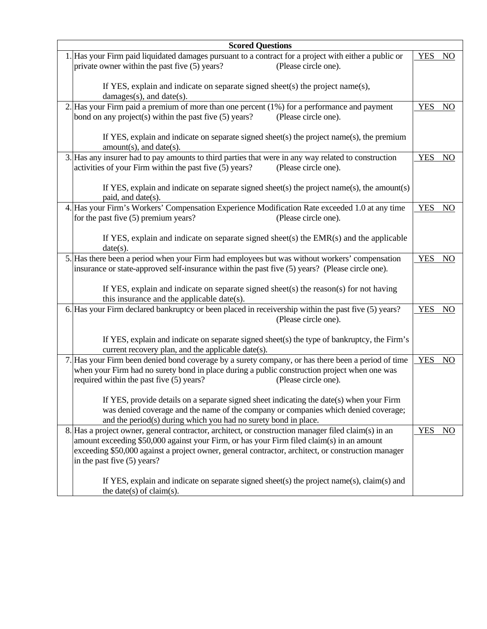| <b>Scored Questions</b>                                                                                                                                                                          |                               |
|--------------------------------------------------------------------------------------------------------------------------------------------------------------------------------------------------|-------------------------------|
| 1. Has your Firm paid liquidated damages pursuant to a contract for a project with either a public or                                                                                            | <b>YES</b><br>NO              |
| private owner within the past five (5) years?<br>(Please circle one).                                                                                                                            |                               |
|                                                                                                                                                                                                  |                               |
| If YES, explain and indicate on separate signed sheet(s) the project name(s),                                                                                                                    |                               |
| damages(s), and date(s).<br>2. Has your Firm paid a premium of more than one percent (1%) for a performance and payment                                                                          | <b>YES</b><br>N <sub>O</sub>  |
| bond on any project(s) within the past five (5) years?<br>(Please circle one).                                                                                                                   |                               |
|                                                                                                                                                                                                  |                               |
| If YES, explain and indicate on separate signed sheet(s) the project name(s), the premium                                                                                                        |                               |
| $amount(s)$ , and date(s).                                                                                                                                                                       |                               |
| 3. Has any insurer had to pay amounts to third parties that were in any way related to construction                                                                                              | <b>YES</b><br>NO <sub>1</sub> |
| activities of your Firm within the past five (5) years?<br>(Please circle one).                                                                                                                  |                               |
|                                                                                                                                                                                                  |                               |
| If YES, explain and indicate on separate signed sheet(s) the project name(s), the amount(s)<br>paid, and date(s).                                                                                |                               |
| 4. Has your Firm's Workers' Compensation Experience Modification Rate exceeded 1.0 at any time                                                                                                   | <b>YES</b><br><b>NO</b>       |
| for the past five (5) premium years?<br>(Please circle one).                                                                                                                                     |                               |
|                                                                                                                                                                                                  |                               |
| If YES, explain and indicate on separate signed sheet(s) the $EMR(s)$ and the applicable                                                                                                         |                               |
| date(s).<br>5. Has there been a period when your Firm had employees but was without workers' compensation                                                                                        | <b>YES</b><br>N <sub>O</sub>  |
| insurance or state-approved self-insurance within the past five (5) years? (Please circle one).                                                                                                  |                               |
|                                                                                                                                                                                                  |                               |
| If YES, explain and indicate on separate signed sheet(s) the reason(s) for not having                                                                                                            |                               |
| this insurance and the applicable date(s).                                                                                                                                                       |                               |
| 6. Has your Firm declared bankruptcy or been placed in receivership within the past five (5) years?                                                                                              | <b>YES</b><br>N <sub>O</sub>  |
| (Please circle one).                                                                                                                                                                             |                               |
|                                                                                                                                                                                                  |                               |
| If YES, explain and indicate on separate signed sheet(s) the type of bankruptcy, the Firm's<br>current recovery plan, and the applicable date(s).                                                |                               |
| 7. Has your Firm been denied bond coverage by a surety company, or has there been a period of time                                                                                               | <b>YES</b><br>NO              |
| when your Firm had no surety bond in place during a public construction project when one was                                                                                                     |                               |
| required within the past five (5) years?<br>(Please circle one).                                                                                                                                 |                               |
|                                                                                                                                                                                                  |                               |
| If YES, provide details on a separate signed sheet indicating the date(s) when your Firm                                                                                                         |                               |
| was denied coverage and the name of the company or companies which denied coverage;                                                                                                              |                               |
| and the period(s) during which you had no surety bond in place.                                                                                                                                  |                               |
| 8. Has a project owner, general contractor, architect, or construction manager filed claim(s) in an<br>amount exceeding \$50,000 against your Firm, or has your Firm filed claim(s) in an amount | <b>YES</b><br>NO              |
| exceeding \$50,000 against a project owner, general contractor, architect, or construction manager                                                                                               |                               |
| in the past five (5) years?                                                                                                                                                                      |                               |
|                                                                                                                                                                                                  |                               |
| If YES, explain and indicate on separate signed sheet(s) the project name(s), claim(s) and                                                                                                       |                               |
| the date(s) of claim(s).                                                                                                                                                                         |                               |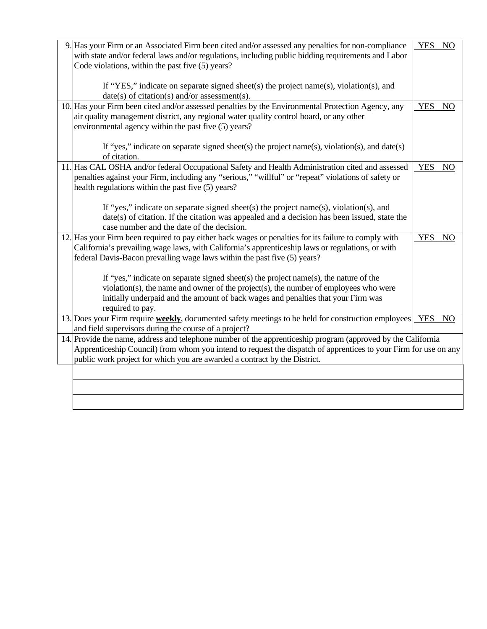| 9. Has your Firm or an Associated Firm been cited and/or assessed any penalties for non-compliance<br>with state and/or federal laws and/or regulations, including public bidding requirements and Labor<br>Code violations, within the past five (5) years?                                                 | <b>YES</b> | N <sub>O</sub>  |
|--------------------------------------------------------------------------------------------------------------------------------------------------------------------------------------------------------------------------------------------------------------------------------------------------------------|------------|-----------------|
| If "YES," indicate on separate signed sheet(s) the project name(s), violation(s), and<br>$date(s)$ of citation(s) and/or assessment(s).                                                                                                                                                                      |            |                 |
| 10. Has your Firm been cited and/or assessed penalties by the Environmental Protection Agency, any<br>air quality management district, any regional water quality control board, or any other<br>environmental agency within the past five (5) years?                                                        | <b>YES</b> | N <sub>O</sub>  |
| If "yes," indicate on separate signed sheet(s) the project name(s), violation(s), and date(s)<br>of citation.                                                                                                                                                                                                |            |                 |
| 11. Has CAL OSHA and/or federal Occupational Safety and Health Administration cited and assessed<br>penalties against your Firm, including any "serious," "willful" or "repeat" violations of safety or<br>health regulations within the past five (5) years?                                                | <b>YES</b> | N <sub>O</sub>  |
| If "yes," indicate on separate signed sheet(s) the project name(s), violation(s), and<br>$date(s)$ of citation. If the citation was appealed and a decision has been issued, state the<br>case number and the date of the decision.                                                                          |            |                 |
| 12. Has your Firm been required to pay either back wages or penalties for its failure to comply with<br>California's prevailing wage laws, with California's apprenticeship laws or regulations, or with<br>federal Davis-Bacon prevailing wage laws within the past five (5) years?                         | <b>YES</b> | N <sub>O</sub>  |
| If "yes," indicate on separate signed sheet(s) the project name(s), the nature of the<br>violation(s), the name and owner of the project(s), the number of employees who were<br>initially underpaid and the amount of back wages and penalties that your Firm was<br>required to pay.                       |            |                 |
| 13. Does your Firm require <b>weekly</b> , documented safety meetings to be held for construction employees<br>and field supervisors during the course of a project?                                                                                                                                         | <b>YES</b> | NO <sub>1</sub> |
| 14. Provide the name, address and telephone number of the apprenticeship program (approved by the California<br>Apprenticeship Council) from whom you intend to request the dispatch of apprentices to your Firm for use on any<br>public work project for which you are awarded a contract by the District. |            |                 |
|                                                                                                                                                                                                                                                                                                              |            |                 |
|                                                                                                                                                                                                                                                                                                              |            |                 |